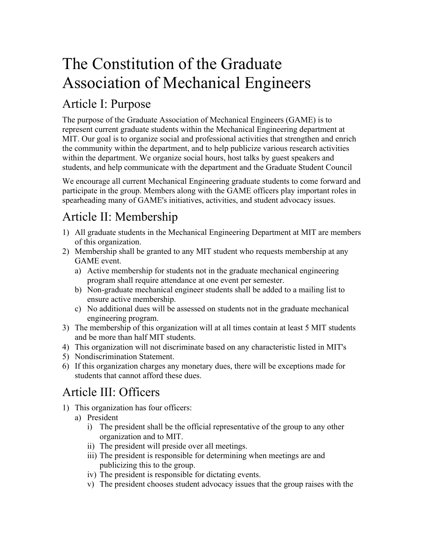# The Constitution of the Graduate Association of Mechanical Engineers

## Article I: Purpose

The purpose of the Graduate Association of Mechanical Engineers (GAME) is to represent current graduate students within the Mechanical Engineering department at MIT. Our goal is to organize social and professional activities that strengthen and enrich the community within the department, and to help publicize various research activities within the department. We organize social hours, host talks by guest speakers and students, and help communicate with the department and the Graduate Student Council

We encourage all current Mechanical Engineering graduate students to come forward and participate in the group. Members along with the GAME officers play important roles in spearheading many of GAME's initiatives, activities, and student advocacy issues.

## Article II: Membership

- 1) All graduate students in the Mechanical Engineering Department at MIT are members of this organization.
- 2) Membership shall be granted to any MIT student who requests membership at any GAME event.
	- a) Active membership for students not in the graduate mechanical engineering program shall require attendance at one event per semester.
	- b) Non-graduate mechanical engineer students shall be added to a mailing list to ensure active membership.
	- c) No additional dues will be assessed on students not in the graduate mechanical engineering program.
- 3) The membership of this organization will at all times contain at least 5 MIT students and be more than half MIT students.
- 4) This organization will not discriminate based on any characteristic listed in MIT's
- 5) Nondiscrimination Statement.
- 6) If this organization charges any monetary dues, there will be exceptions made for students that cannot afford these dues.

#### Article III: Officers

- 1) This organization has four officers:
	- a) President
		- i) The president shall be the official representative of the group to any other organization and to MIT.
		- ii) The president will preside over all meetings.
		- iii) The president is responsible for determining when meetings are and publicizing this to the group.
		- iv) The president is responsible for dictating events.
		- v) The president chooses student advocacy issues that the group raises with the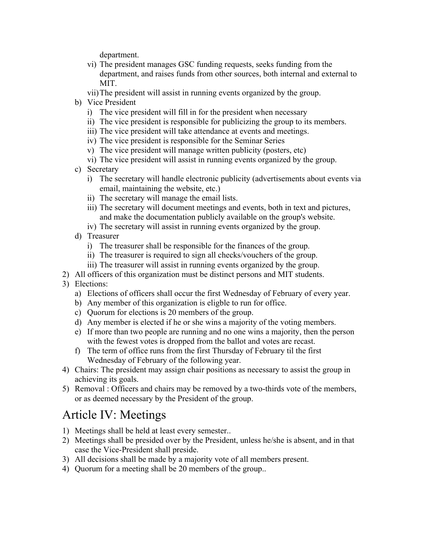department.

- vi) The president manages GSC funding requests, seeks funding from the department, and raises funds from other sources, both internal and external to MIT.
- vii)The president will assist in running events organized by the group.
- b) Vice President
	- i) The vice president will fill in for the president when necessary
	- ii) The vice president is responsible for publicizing the group to its members.
	- iii) The vice president will take attendance at events and meetings.
	- iv) The vice president is responsible for the Seminar Series
	- v) The vice president will manage written publicity (posters, etc)
	- vi) The vice president will assist in running events organized by the group.
- c) Secretary
	- i) The secretary will handle electronic publicity (advertisements about events via email, maintaining the website, etc.)
	- ii) The secretary will manage the email lists.
	- iii) The secretary will document meetings and events, both in text and pictures, and make the documentation publicly available on the group's website.
	- iv) The secretary will assist in running events organized by the group.
- d) Treasurer
	- i) The treasurer shall be responsible for the finances of the group.
	- ii) The treasurer is required to sign all checks/vouchers of the group.
	- iii) The treasurer will assist in running events organized by the group.
- 2) All officers of this organization must be distinct persons and MIT students.
- 3) Elections:
	- a) Elections of officers shall occur the first Wednesday of February of every year.
	- b) Any member of this organization is eligble to run for office.
	- c) Quorum for elections is 20 members of the group.
	- d) Any member is elected if he or she wins a majority of the voting members.
	- e) If more than two people are running and no one wins a majority, then the person with the fewest votes is dropped from the ballot and votes are recast.
	- f) The term of office runs from the first Thursday of February til the first Wednesday of February of the following year.
- 4) Chairs: The president may assign chair positions as necessary to assist the group in achieving its goals.
- 5) Removal : Officers and chairs may be removed by a two-thirds vote of the members, or as deemed necessary by the President of the group.

#### Article IV: Meetings

- 1) Meetings shall be held at least every semester..
- 2) Meetings shall be presided over by the President, unless he/she is absent, and in that case the Vice-President shall preside.
- 3) All decisions shall be made by a majority vote of all members present.
- 4) Quorum for a meeting shall be 20 members of the group..